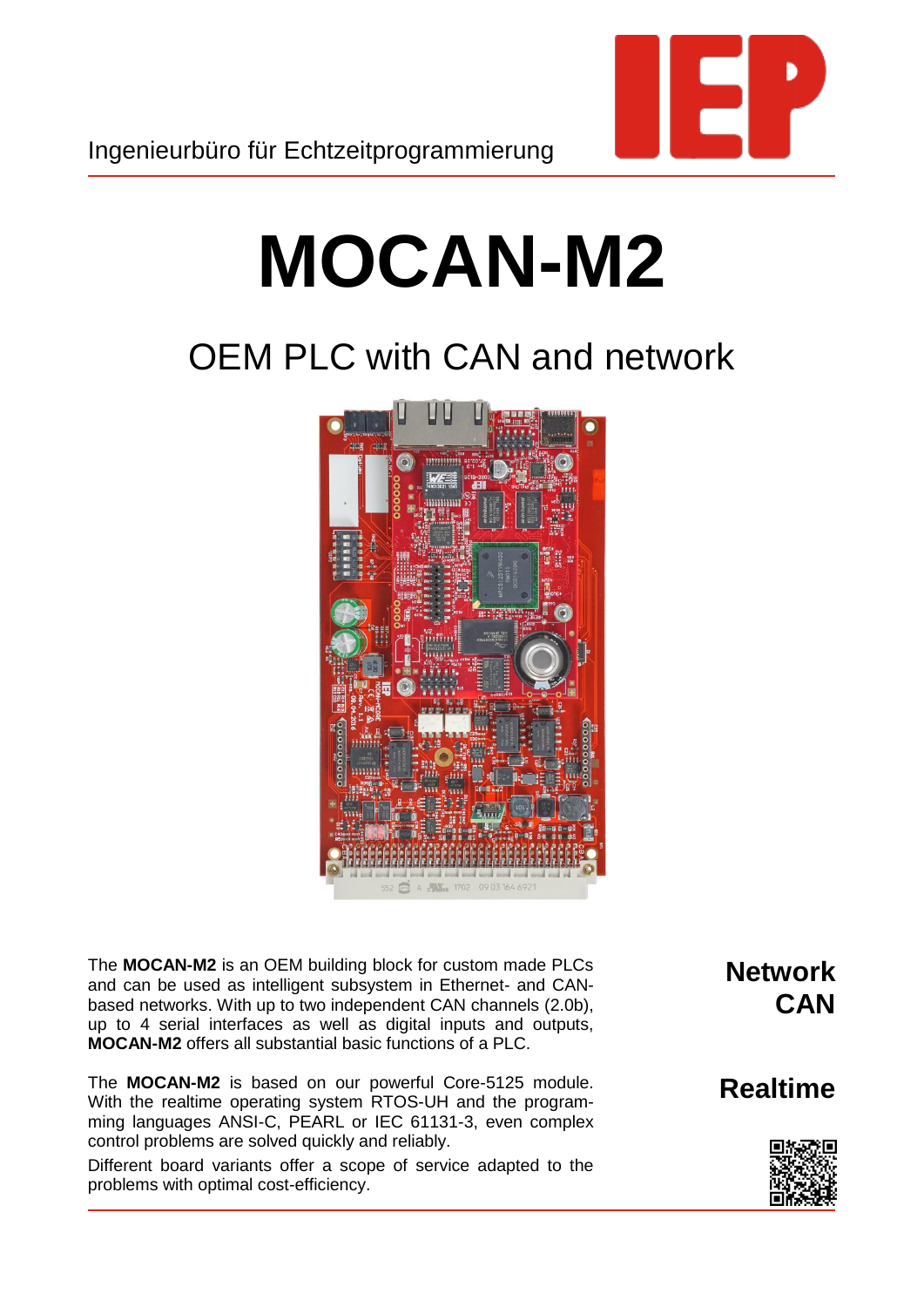

# **MOCAN-M2**

# OEM PLC with CAN and network



The **MOCAN-M2** is an OEM building block for custom made PLCs and can be used as intelligent subsystem in Ethernet- and CANbased networks. With up to two independent CAN channels (2.0b), up to 4 serial interfaces as well as digital inputs and outputs, **MOCAN-M2** offers all substantial basic functions of a PLC.

The **MOCAN-M2** is based on our powerful Core-5125 module. With the realtime operating system RTOS-UH and the programming languages ANSI-C, PEARL or IEC 61131-3, even complex control problems are solved quickly and reliably.

Different board variants offer a scope of service adapted to the problems with optimal cost-efficiency.

### **Network CAN**

#### **Realtime**